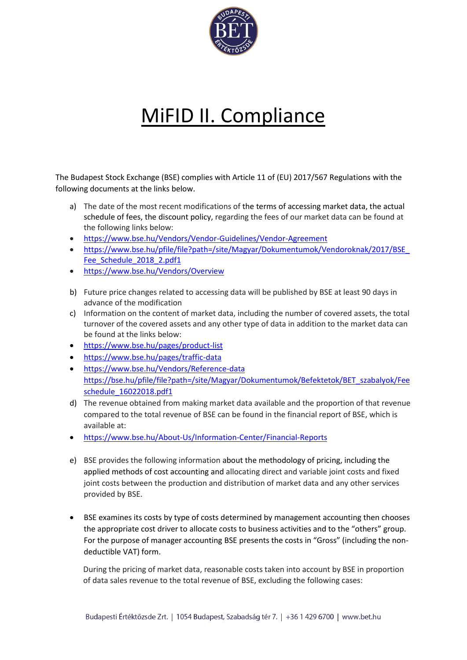

## MiFID II. Compliance

The Budapest Stock Exchange (BSE) complies with Article 11 of (EU) 2017/567 Regulations with the following documents at the links below.

- a) The date of the most recent modifications of the terms of accessing market data, the actual schedule of fees, the discount policy, regarding the fees of our market data can be found at the following links below:
- <https://www.bse.hu/Vendors/Vendor-Guidelines/Vendor-Agreement>
- https://www.bse.hu/pfile/file?path=/site/Magyar/Dokumentumok/Vendoroknak/2017/BSE Fee Schedule 2018 2.pdf1
- <https://www.bse.hu/Vendors/Overview>
- b) Future price changes related to accessing data will be published by BSE at least 90 days in advance of the modification
- c) Information on the content of market data, including the number of covered assets, the total turnover of the covered assets and any other type of data in addition to the market data can be found at the links below:
- <https://www.bse.hu/pages/product-list>
- <https://www.bse.hu/pages/traffic-data>
- <https://www.bse.hu/Vendors/Reference-data> [https://bse.hu/pfile/file?path=/site/Magyar/Dokumentumok/Befektetok/BET\\_szabalyok/Fee](https://bse.hu/pfile/file?path=/site/Magyar/Dokumentumok/Befektetok/BET_szabalyok/Feeschedule_16022018.pdf1) [schedule\\_16022018.pdf1](https://bse.hu/pfile/file?path=/site/Magyar/Dokumentumok/Befektetok/BET_szabalyok/Feeschedule_16022018.pdf1)
- d) The revenue obtained from making market data available and the proportion of that revenue compared to the total revenue of BSE can be found in the financial report of BSE, which is available at:
- <https://www.bse.hu/About-Us/Information-Center/Financial-Reports>
- e) BSE provides the following information about the methodology of pricing, including the applied methods of cost accounting and allocating direct and variable joint costs and fixed joint costs between the production and distribution of market data and any other services provided by BSE.
- BSE examines its costs by type of costs determined by management accounting then chooses the appropriate cost driver to allocate costs to business activities and to the "others" group. For the purpose of manager accounting BSE presents the costs in "Gross" (including the nondeductible VAT) form.

During the pricing of market data, reasonable costs taken into account by BSE in proportion of data sales revenue to the total revenue of BSE, excluding the following cases: